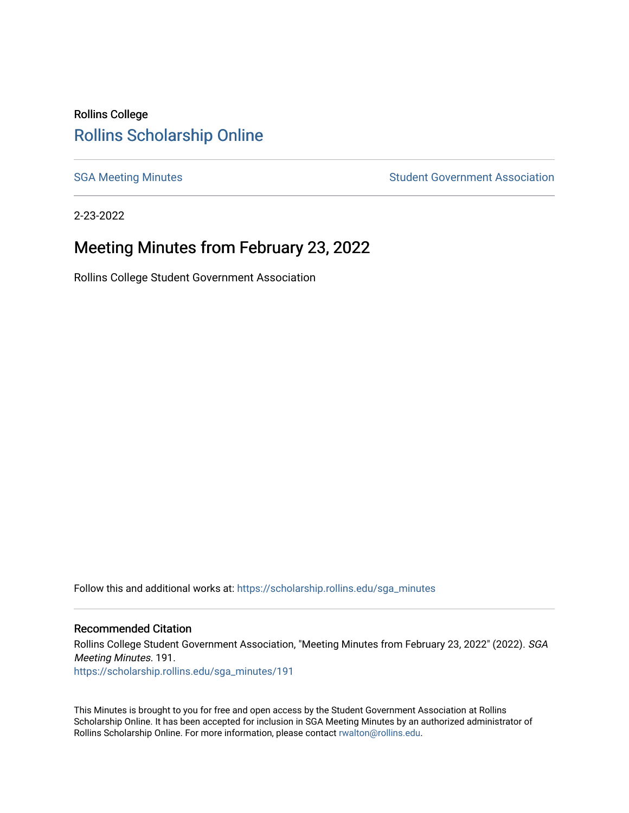# Rollins College [Rollins Scholarship Online](https://scholarship.rollins.edu/)

[SGA Meeting Minutes](https://scholarship.rollins.edu/sga_minutes) **SGA Meeting Minutes** SGA Meeting Minutes **STEER** Student Government Association

2-23-2022

# Meeting Minutes from February 23, 2022

Rollins College Student Government Association

Follow this and additional works at: [https://scholarship.rollins.edu/sga\\_minutes](https://scholarship.rollins.edu/sga_minutes?utm_source=scholarship.rollins.edu%2Fsga_minutes%2F191&utm_medium=PDF&utm_campaign=PDFCoverPages)

#### Recommended Citation

Rollins College Student Government Association, "Meeting Minutes from February 23, 2022" (2022). SGA Meeting Minutes. 191. [https://scholarship.rollins.edu/sga\\_minutes/191](https://scholarship.rollins.edu/sga_minutes/191?utm_source=scholarship.rollins.edu%2Fsga_minutes%2F191&utm_medium=PDF&utm_campaign=PDFCoverPages)

This Minutes is brought to you for free and open access by the Student Government Association at Rollins Scholarship Online. It has been accepted for inclusion in SGA Meeting Minutes by an authorized administrator of Rollins Scholarship Online. For more information, please contact [rwalton@rollins.edu](mailto:rwalton@rollins.edu).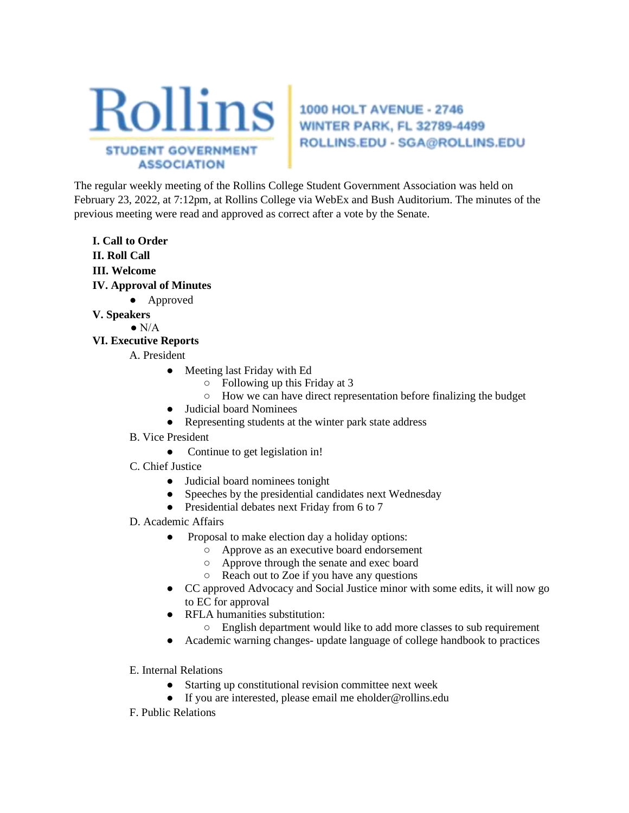

# ROLLINS.EDU - SGA@ROLLINS.EDU

The regular weekly meeting of the Rollins College Student Government Association was held on February 23, 2022, at 7:12pm, at Rollins College via WebEx and Bush Auditorium. The minutes of the previous meeting were read and approved as correct after a vote by the Senate.

- **I. Call to Order II. Roll Call III. Welcome**
- **IV. Approval of Minutes** 
	- Approved
- **V. Speakers** 
	- $\bullet$  N/A

## **VI. Executive Reports**

- A. President
	- Meeting last Friday with Ed
		- Following up this Friday at 3
		- How we can have direct representation before finalizing the budget
	- Judicial board Nominees
	- Representing students at the winter park state address
- B. Vice President
	- Continue to get legislation in!
- C. Chief Justice
	- Judicial board nominees tonight
	- Speeches by the presidential candidates next Wednesday
	- Presidential debates next Friday from 6 to 7
- D. Academic Affairs
	- Proposal to make election day a holiday options:
		- Approve as an executive board endorsement
		- Approve through the senate and exec board
		- Reach out to Zoe if you have any questions
	- CC approved Advocacy and Social Justice minor with some edits, it will now go to EC for approval
	- RFLA humanities substitution:
		- English department would like to add more classes to sub requirement
	- Academic warning changes- update language of college handbook to practices
- E. Internal Relations
	- Starting up constitutional revision committee next week
	- If you are interested, please email me eholder@rollins.edu
- F. Public Relations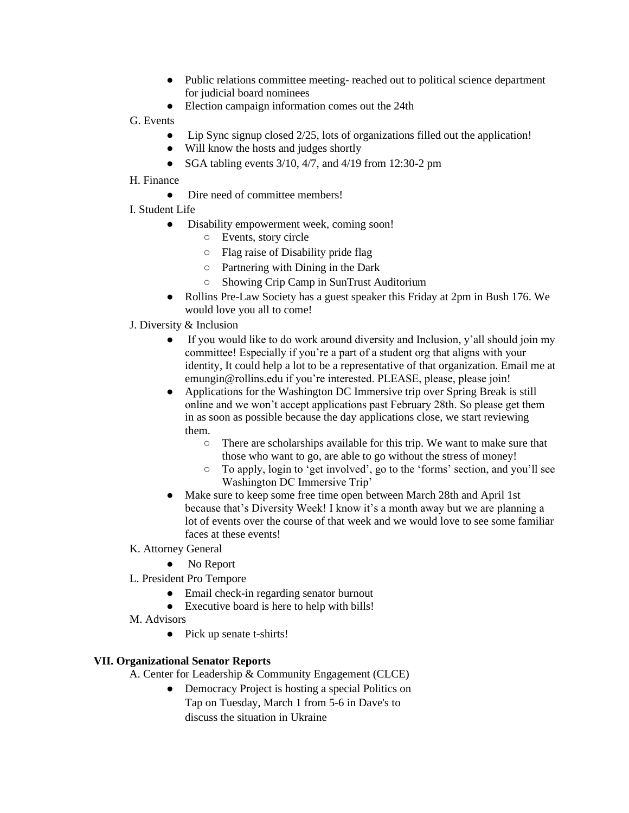- Public relations committee meeting- reached out to political science department for judicial board nominees
- Election campaign information comes out the 24th
- G. Events
	- Lip Sync signup closed  $2/25$ , lots of organizations filled out the application!
	- Will know the hosts and judges shortly
	- SGA tabling events  $3/10$ ,  $4/7$ , and  $4/19$  from 12:30-2 pm
- H. Finance
	- Dire need of committee members!
- I. Student Life
	- Disability empowerment week, coming soon!
		- Events, story circle
		- Flag raise of Disability pride flag
		- Partnering with Dining in the Dark
		- Showing Crip Camp in SunTrust Auditorium
	- Rollins Pre-Law Society has a guest speaker this Friday at 2pm in Bush 176. We would love you all to come!
- J. Diversity & Inclusion
	- If you would like to do work around diversity and Inclusion, y'all should join my committee! Especially if you're a part of a student org that aligns with your identity, It could help a lot to be a representative of that organization. Email me at emungin@rollins.edu if you're interested. PLEASE, please, please join!
	- Applications for the Washington DC Immersive trip over Spring Break is still online and we won't accept applications past February 28th. So please get them in as soon as possible because the day applications close, we start reviewing them.
		- There are scholarships available for this trip. We want to make sure that those who want to go, are able to go without the stress of money!
		- To apply, login to 'get involved', go to the 'forms' section, and you'll see Washington DC Immersive Trip'
	- Make sure to keep some free time open between March 28th and April 1st because that's Diversity Week! I know it's a month away but we are planning a lot of events over the course of that week and we would love to see some familiar faces at these events!
- K. Attorney General
	- No Report
- L. President Pro Tempore
	- Email check-in regarding senator burnout
	- Executive board is here to help with bills!
- M. Advisors
	- Pick up senate t-shirts!

## **VII. Organizational Senator Reports**

- A. Center for Leadership & Community Engagement (CLCE)
	- Democracy Project is hosting a special Politics on Tap on Tuesday, March 1 from 5-6 in Dave's to discuss the situation in Ukraine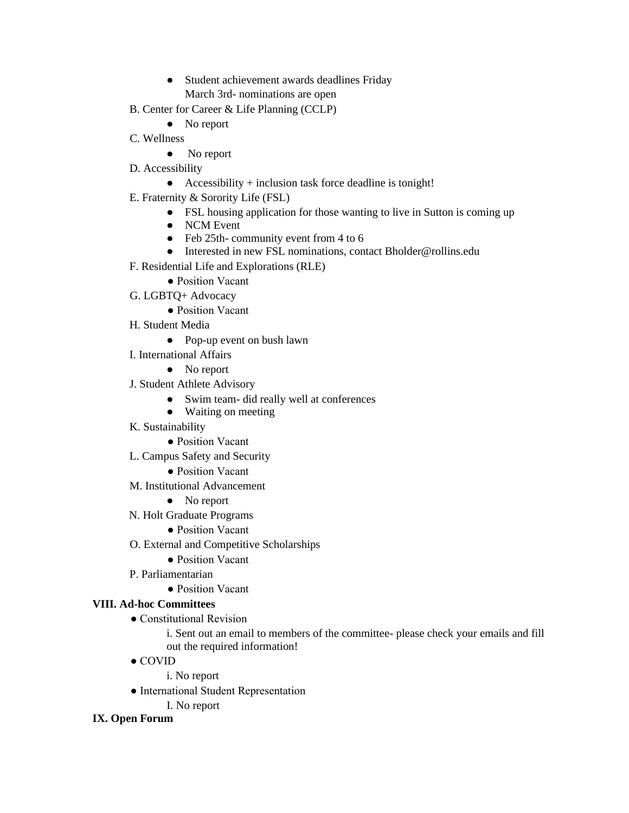- Student achievement awards deadlines Friday March 3rd- nominations are open
- B. Center for Career & Life Planning (CCLP)
	- No report
- C. Wellness
	- No report
- D. Accessibility
	- Accessibility + inclusion task force deadline is tonight!
- E. Fraternity & Sorority Life (FSL)
	- FSL housing application for those wanting to live in Sutton is coming up
	- NCM Event
	- Feb 25th- community event from 4 to 6
	- Interested in new FSL nominations, contact Bholder@rollins.edu
- F. Residential Life and Explorations (RLE)
	- Position Vacant
- G. LGBTQ+ Advocacy
	- Position Vacant
- H. Student Media
	- Pop-up event on bush lawn
- I. International Affairs
	- No report
- J. Student Athlete Advisory
	- Swim team- did really well at conferences
	- Waiting on meeting
- K. Sustainability
	- Position Vacant
- L. Campus Safety and Security
	- Position Vacant
- M. Institutional Advancement
	- No report
- N. Holt Graduate Programs
	- Position Vacant
- O. External and Competitive Scholarships
	- Position Vacant
- P. Parliamentarian
	- Position Vacant

## **VIII. Ad-hoc Committees**

• Constitutional Revision

i. Sent out an email to members of the committee- please check your emails and fill out the required information!

● COVID

i. No report

- International Student Representation
	- I. No report

## **IX. Open Forum**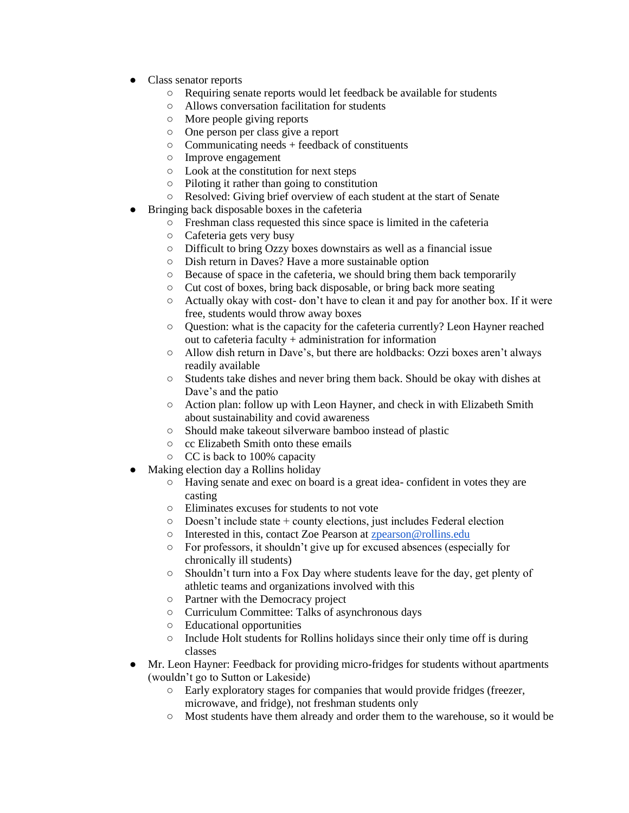- Class senator reports
	- Requiring senate reports would let feedback be available for students
	- Allows conversation facilitation for students
	- More people giving reports
	- One person per class give a report
	- $\circ$  Communicating needs + feedback of constituents
	- Improve engagement
	- Look at the constitution for next steps
	- Piloting it rather than going to constitution
	- Resolved: Giving brief overview of each student at the start of Senate
- Bringing back disposable boxes in the cafeteria
	- Freshman class requested this since space is limited in the cafeteria
	- Cafeteria gets very busy
	- Difficult to bring Ozzy boxes downstairs as well as a financial issue
	- Dish return in Daves? Have a more sustainable option
	- Because of space in the cafeteria, we should bring them back temporarily
	- Cut cost of boxes, bring back disposable, or bring back more seating
	- Actually okay with cost- don't have to clean it and pay for another box. If it were free, students would throw away boxes
	- Question: what is the capacity for the cafeteria currently? Leon Hayner reached out to cafeteria faculty + administration for information
	- Allow dish return in Dave's, but there are holdbacks: Ozzi boxes aren't always readily available
	- Students take dishes and never bring them back. Should be okay with dishes at Dave's and the patio
	- Action plan: follow up with Leon Hayner, and check in with Elizabeth Smith about sustainability and covid awareness
	- Should make takeout silverware bamboo instead of plastic
	- cc Elizabeth Smith onto these emails
	- CC is back to 100% capacity
- Making election day a Rollins holiday
	- Having senate and exec on board is a great idea- confident in votes they are casting
	- Eliminates excuses for students to not vote
	- Doesn't include state + county elections, just includes Federal election
	- Interested in this, contact Zoe Pearson at [zpearson@rollins.edu](mailto:zpearson@rollins.edu)
	- For professors, it shouldn't give up for excused absences (especially for chronically ill students)
	- Shouldn't turn into a Fox Day where students leave for the day, get plenty of athletic teams and organizations involved with this
	- Partner with the Democracy project
	- Curriculum Committee: Talks of asynchronous days
	- Educational opportunities
	- Include Holt students for Rollins holidays since their only time off is during classes
- Mr. Leon Hayner: Feedback for providing micro-fridges for students without apartments (wouldn't go to Sutton or Lakeside)
	- Early exploratory stages for companies that would provide fridges (freezer, microwave, and fridge), not freshman students only
	- Most students have them already and order them to the warehouse, so it would be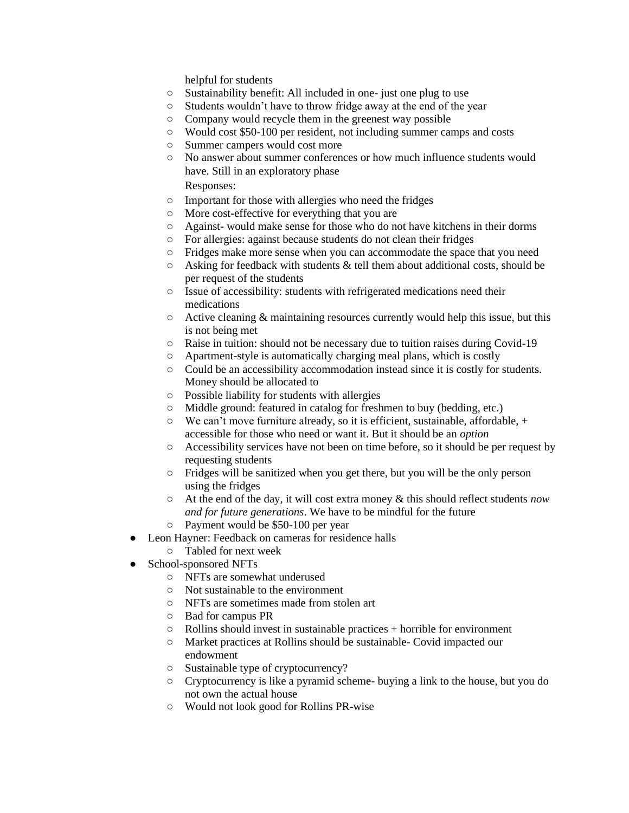helpful for students

- Sustainability benefit: All included in one- just one plug to use
- Students wouldn't have to throw fridge away at the end of the year
- Company would recycle them in the greenest way possible
- Would cost \$50-100 per resident, not including summer camps and costs
- Summer campers would cost more
- No answer about summer conferences or how much influence students would have. Still in an exploratory phase

Responses:

- Important for those with allergies who need the fridges
- More cost-effective for everything that you are
- Against- would make sense for those who do not have kitchens in their dorms
- For allergies: against because students do not clean their fridges
- Fridges make more sense when you can accommodate the space that you need
- $\circ$  Asking for feedback with students & tell them about additional costs, should be per request of the students
- Issue of accessibility: students with refrigerated medications need their medications
- $\circ$  Active cleaning & maintaining resources currently would help this issue, but this is not being met
- Raise in tuition: should not be necessary due to tuition raises during Covid-19
- Apartment-style is automatically charging meal plans, which is costly
- Could be an accessibility accommodation instead since it is costly for students. Money should be allocated to
- Possible liability for students with allergies
- Middle ground: featured in catalog for freshmen to buy (bedding, etc.)
- We can't move furniture already, so it is efficient, sustainable, affordable, + accessible for those who need or want it. But it should be an *option*
- Accessibility services have not been on time before, so it should be per request by requesting students
- Fridges will be sanitized when you get there, but you will be the only person using the fridges
- At the end of the day, it will cost extra money & this should reflect students *now and for future generations*. We have to be mindful for the future
- Payment would be \$50-100 per year
- Leon Hayner: Feedback on cameras for residence halls
	- Tabled for next week
- School-sponsored NFTs
	- NFTs are somewhat underused
	- Not sustainable to the environment
	- NFTs are sometimes made from stolen art
	- Bad for campus PR
	- Rollins should invest in sustainable practices + horrible for environment
	- Market practices at Rollins should be sustainable- Covid impacted our endowment
	- Sustainable type of cryptocurrency?
	- Cryptocurrency is like a pyramid scheme- buying a link to the house, but you do not own the actual house
	- Would not look good for Rollins PR-wise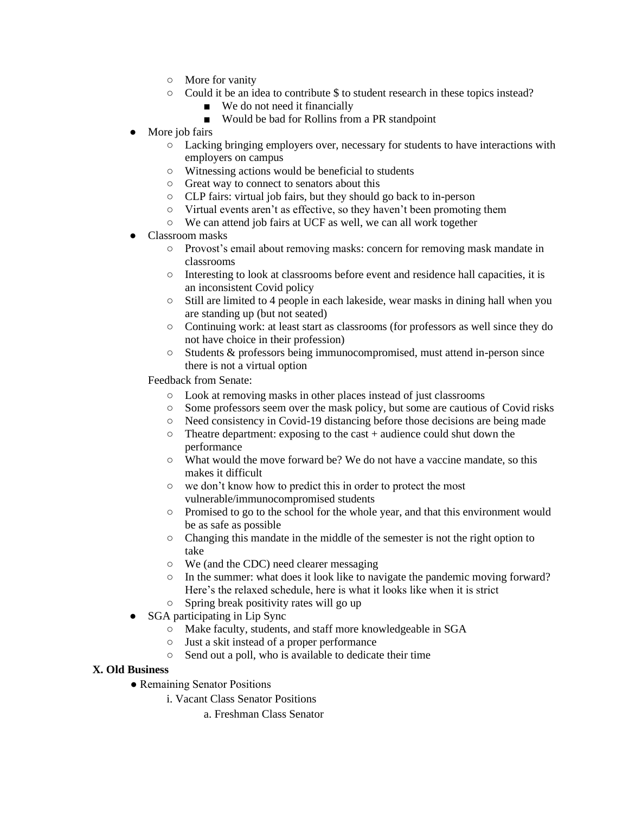- More for vanity
- Could it be an idea to contribute \$ to student research in these topics instead?
	- We do not need it financially
	- Would be bad for Rollins from a PR standpoint
- More job fairs
	- Lacking bringing employers over, necessary for students to have interactions with employers on campus
	- Witnessing actions would be beneficial to students
	- Great way to connect to senators about this
	- CLP fairs: virtual job fairs, but they should go back to in-person
	- Virtual events aren't as effective, so they haven't been promoting them
	- We can attend job fairs at UCF as well, we can all work together
- Classroom masks
	- Provost's email about removing masks: concern for removing mask mandate in classrooms
	- Interesting to look at classrooms before event and residence hall capacities, it is an inconsistent Covid policy
	- $\circ$  Still are limited to 4 people in each lakeside, wear masks in dining hall when you are standing up (but not seated)
	- Continuing work: at least start as classrooms (for professors as well since they do not have choice in their profession)
	- Students & professors being immunocompromised, must attend in-person since there is not a virtual option

Feedback from Senate:

- Look at removing masks in other places instead of just classrooms
- Some professors seem over the mask policy, but some are cautious of Covid risks
- Need consistency in Covid-19 distancing before those decisions are being made
- Theatre department: exposing to the cast + audience could shut down the performance
- What would the move forward be? We do not have a vaccine mandate, so this makes it difficult
- we don't know how to predict this in order to protect the most vulnerable/immunocompromised students
- Promised to go to the school for the whole year, and that this environment would be as safe as possible
- Changing this mandate in the middle of the semester is not the right option to take
- We (and the CDC) need clearer messaging
- In the summer: what does it look like to navigate the pandemic moving forward? Here's the relaxed schedule, here is what it looks like when it is strict
- Spring break positivity rates will go up
- SGA participating in Lip Sync
	- Make faculty, students, and staff more knowledgeable in SGA
	- Just a skit instead of a proper performance
	- Send out a poll, who is available to dedicate their time

#### **X. Old Business**

- Remaining Senator Positions
	- i. Vacant Class Senator Positions
		- a. Freshman Class Senator